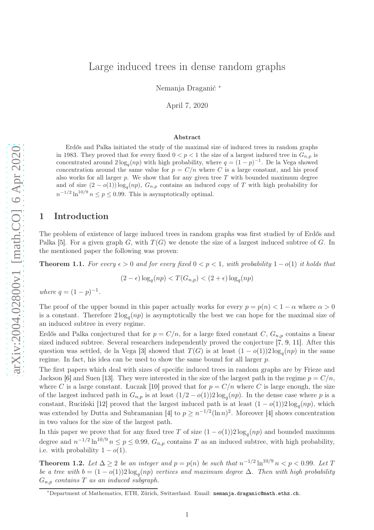# Large induced trees in dense random graphs

Nemanja Draganić <sup>∗</sup>

April 7, 2020

#### Abstract

Erdős and Palka initiated the study of the maximal size of induced trees in random graphs in 1983. They proved that for every fixed  $0 < p < 1$  the size of a largest induced tree in  $G_{n,p}$  is concentrated around  $2\log_q(np)$  with high probability, where  $q = (1-p)^{-1}$ . De la Vega showed concentration around the same value for  $p = C/n$  where C is a large constant, and his proof also works for all larger  $p$ . We show that for any given tree  $T$  with bounded maximum degree and of size  $(2 - o(1)) \log_q(np)$ ,  $G_{n,p}$  contains an induced copy of T with high probability for  $n^{-1/2} \ln^{10/9} n \le p \le 0.99$ . This is asymptotically optimal.

### 1 Introduction

The problem of existence of large induced trees in random graphs was first studied by of Erdős and Palka [\[5\]](#page-11-0). For a given graph G, with  $T(G)$  we denote the size of a largest induced subtree of G. In the mentioned paper the following was proven:

**Theorem 1.1.** For every  $\epsilon > 0$  and for every fixed  $0 < p < 1$ , with probability  $1 - o(1)$  it holds that

$$
(2 - \epsilon) \log_q(np) < T(G_{n,p}) < (2 + \epsilon) \log_q(np)
$$

where  $q = (1 - p)^{-1}$ .

The proof of the upper bound in this paper actually works for every  $p = p(n) < 1 - \alpha$  where  $\alpha > 0$ is a constant. Therefore  $2\log_q(np)$  is asymptotically the best we can hope for the maximal size of an induced subtree in every regime.

Erdős and Palka conjectured that for  $p = C/n$ , for a large fixed constant C,  $G_{n,p}$  contains a linear sized induced subtree. Several researchers independently proved the conjecture [\[7,](#page-11-1) [9,](#page-11-2) [11\]](#page-11-3). After this question was settled, de la Vega [\[3\]](#page-11-4) showed that  $T(G)$  is at least  $(1 - o(1))2 \log_q(np)$  in the same regime. In fact, his idea can be used to show the same bound for all larger  $p$ .

The first papers which deal with sizes of specific induced trees in random graphs are by Frieze and Jackson [\[6\]](#page-11-5) and Suen [\[13\]](#page-11-6). They were interested in the size of the largest path in the regime  $p = C/n$ , where C is a large constant. Łuczak [\[10\]](#page-11-7) proved that for  $p = C/n$  where C is large enough, the size of the largest induced path in  $G_{n,p}$  is at least  $(1/2 - o(1))2 \log_q(np)$ . In the dense case where p is a constant, Ruciński [\[12\]](#page-11-8) proved that the largest induced path is at least  $(1 - o(1))2 \log_q(np)$ , which was extended by Dutta and Subramanian [\[4\]](#page-11-9) to  $p \geq n^{-1/2}(\ln n)^2$ . Moreover [4] shows concentration in two values for the size of the largest path.

In this paper we prove that for any fixed tree T of size  $(1 - o(1))2 \log_q(np)$  and bounded maximum degree and  $n^{-1/2} \ln^{10/9} n \le p \le 0.99$ ,  $G_{n,p}$  contains T as an induced subtree, with high probability, i.e. with probability  $1 - o(1)$ .

<span id="page-0-0"></span>**Theorem 1.2.** Let  $\Delta \ge 2$  be an integer and  $p = p(n)$  be such that  $n^{-1/2} \ln^{10/9} n < p < 0.99$ . Let T be a tree with  $b = (1 - o(1))2 \log_q(np)$  vertices and maximum degree  $\Delta$ . Then with high probability  $G_{n,p}$  contains T as an induced subgraph.

<sup>∗</sup>Department of Mathematics, ETH, Zürich, Switzerland. Email: [nemanja.draganic@math.ethz.ch](mailto:nemanja.draganic@math.ethz.ch).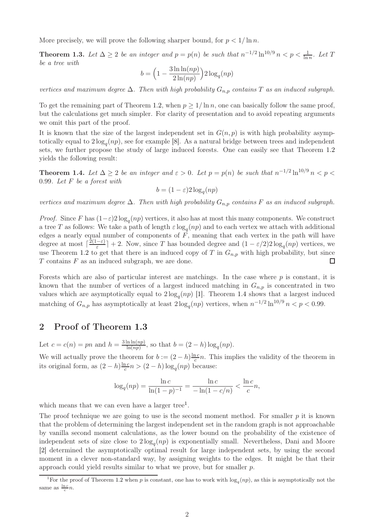<span id="page-1-1"></span>More precisely, we will prove the following sharper bound, for  $p < 1/\ln n$ .

**Theorem 1.3.** Let  $\Delta \geq 2$  be an integer and  $p = p(n)$  be such that  $n^{-1/2} \ln^{10/9} n < p < \frac{1}{\ln n}$ . Let T be a tree with

$$
b = \left(1 - \frac{3\ln\ln(np)}{2\ln(np)}\right)2\log_q(np)
$$

vertices and maximum degree  $\Delta$ . Then with high probability  $G_{n,p}$  contains T as an induced subgraph.

To get the remaining part of Theorem [1.2,](#page-0-0) when  $p \geq 1/\ln n$ , one can basically follow the same proof, but the calculations get much simpler. For clarity of presentation and to avoid repeating arguments we omit this part of the proof.

It is known that the size of the largest independent set in  $G(n, p)$  is with high probability asymptotically equal to  $2\log_q(np)$ , see for example [\[8\]](#page-11-10). As a natural bridge between trees and independent sets, we further propose the study of large induced forests. One can easily see that Theorem [1.2](#page-0-0) yields the following result:

<span id="page-1-0"></span>**Theorem 1.4.** Let  $\Delta \ge 2$  be an integer and  $\varepsilon > 0$ . Let  $p = p(n)$  be such that  $n^{-1/2} \ln^{10/9} n < p <$ 0.99. Let F be a forest with

$$
b = (1 - \varepsilon)2 \log_q(np)
$$

vertices and maximum degree  $\Delta$ . Then with high probability  $G_{n,p}$  contains F as an induced subgraph.

*Proof.* Since F has  $(1-\varepsilon)2\log_q(np)$  vertices, it also has at most this many components. We construct a tree T as follows: We take a path of length  $\varepsilon \log_q(np)$  and to each vertex we attach with additional edges a nearly equal number of components of  $F$ , meaning that each vertex in the path will have degree at most  $\lceil \frac{2(1-\varepsilon)}{\varepsilon} \rceil$  $\frac{(-\varepsilon)}{\varepsilon}$  + 2. Now, since T has bounded degree and  $(1 - \varepsilon/2)2 \log_q(np)$  vertices, we use Theorem [1.2](#page-0-0) to get that there is an induced copy of T in  $G_{n,p}$  with high probability, but since  $T$  contains  $F$  as an induced subgraph, we are done.  $\Box$ 

Forests which are also of particular interest are matchings. In the case where  $p$  is constant, it is known that the number of vertices of a largest induced matching in  $G_{n,p}$  is concentrated in two values which are asymptotically equal to  $2\log_q(np)$  [\[1\]](#page-10-0). Theorem [1.4](#page-1-0) shows that a largest induced matching of  $G_{n,p}$  has asymptotically at least  $2\log_q(np)$  vertices, when  $n^{-1/2}\ln^{10/9}n < p < 0.99$ .

## 2 Proof of Theorem [1.3](#page-1-1)

Let  $c = c(n) = pn$  and  $h = \frac{3 \ln \ln(np)}{\ln(np)}$  $\frac{\ln \ln(np)}{\ln(np)}$ , so that  $b = (2 - h) \log_q(np)$ .

We will actually prove the theorem for  $b := (2 - h)^{\frac{\ln c}{c}}$  $\frac{nc}{c}n$ . This implies the validity of the theorem in its original form, as  $(2-h)\frac{\ln c}{c}$  $\frac{nc}{c}n > (2-h)\log_q(np)$  because:

$$
\log_q(np) = \frac{\ln c}{\ln(1-p)^{-1}} = \frac{\ln c}{-\ln(1-c/n)} < \frac{\ln c}{c}n,
$$

which means that we can even have a larger tree<sup>[1](#page-1-2)</sup>.

The proof technique we are going to use is the second moment method. For smaller  $p$  it is known that the problem of determining the largest independent set in the random graph is not approachable by vanilla second moment calculations, as the lower bound on the probability of the existence of independent sets of size close to  $2\log_q(np)$  is exponentially small. Nevertheless, Dani and Moore [\[2\]](#page-11-11) determined the asymptotically optimal result for large independent sets, by using the second moment in a clever non-standard way, by assigning weights to the edges. It might be that their approach could yield results similar to what we prove, but for smaller p.

<span id="page-1-2"></span><sup>&</sup>lt;sup>1</sup>For the proof of Theorem [1.2](#page-0-0) when p is constant, one has to work with  $\log_q(np)$ , as this is asymptotically not the same as  $\frac{\ln c}{c}n$ .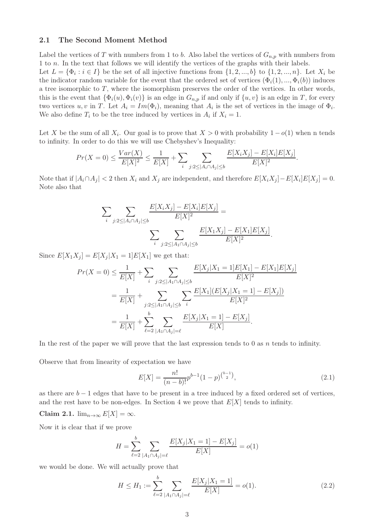#### 2.1 The Second Moment Method

Label the vertices of T with numbers from 1 to b. Also label the vertices of  $G_{n,p}$  with numbers from 1 to n. In the text that follows we will identify the vertices of the graphs with their labels. Let  $L = {\Phi_i : i \in I}$  be the set of all injective functions from  $\{1, 2, ..., b\}$  to  $\{1, 2, ..., n\}$ . Let  $X_i$  be the indicator random variable for the event that the ordered set of vertices  $(\Phi_i(1), ..., \Phi_i(b))$  induces a tree isomorphic to  $T$ , where the isomorphism preserves the order of the vertices. In other words, this is the event that  $\{\Phi_i(u), \Phi_i(v)\}$  is an edge in  $G_{n,p}$  if and only if  $\{u, v\}$  is an edge in T, for every two vertices u, v in T. Let  $A_i = Im(\Phi_i)$ , meaning that  $A_i$  is the set of vertices in the image of  $\Phi_i$ . We also define  $T_i$  to be the tree induced by vertices in  $A_i$  if  $X_i = 1$ .

Let X be the sum of all  $X_i$ . Our goal is to prove that  $X > 0$  with probability  $1 - o(1)$  when n tends to infinity. In order to do this we will use Chebyshev's Inequality:

$$
Pr(X = 0) \le \frac{Var(X)}{E[X]^2} \le \frac{1}{E[X]} + \sum_{i} \sum_{j:2 \le |A_i \cap A_j| \le b} \frac{E[X_i X_j] - E[X_i]E[X_j]}{E[X]^2}.
$$

Note that if  $|A_i \cap A_j| < 2$  then  $X_i$  and  $X_j$  are independent, and therefore  $E[X_i X_j] - E[X_i]E[X_j] = 0$ . Note also that

$$
\sum_{i} \sum_{j:2 \leq |A_i \cap A_j| \leq b} \frac{E[X_i X_j] - E[X_i]E[X_j]}{E[X]^2} = \sum_{i} \sum_{j:2 \leq |A_1 \cap A_j| \leq b} \frac{E[X_1 X_j] - E[X_1]E[X_j]}{E[X]^2}.
$$

Since  $E[X_1X_j] = E[X_j|X_1 = 1]E[X_1]$  we get that:

$$
Pr(X = 0) \le \frac{1}{E[X]} + \sum_{i} \sum_{j:2 \le |A_1 \cap A_j| \le b} \frac{E[X_j|X_1 = 1]E[X_1] - E[X_1]E[X_j]}{E[X]^2}
$$
  
= 
$$
\frac{1}{E[X]} + \sum_{j:2 \le |A_1 \cap A_j| \le b} \sum_{i} \frac{E[X_1](E[X_j|X_1 = 1] - E[X_j])}{E[X]^2}
$$
  
= 
$$
\frac{1}{E[X]} + \sum_{\ell=2}^{b} \sum_{|A_1 \cap A_j| = \ell} \frac{E[X_j|X_1 = 1] - E[X_j]}{E[X]}.
$$

In the rest of the paper we will prove that the last expression tends to 0 as  $n$  tends to infinity.

Observe that from linearity of expectation we have

<span id="page-2-0"></span>
$$
E[X] = \frac{n!}{(n-b)!} p^{b-1} (1-p)^{\binom{b-1}{2}},\tag{2.1}
$$

<span id="page-2-2"></span>as there are  $b - 1$  edges that have to be present in a tree induced by a fixed ordered set of vertices, and the rest have to be non-edges. In Section 4 we prove that  $E[X]$  tends to infinity.

Claim 2.1.  $\lim_{n\to\infty} E[X] = \infty$ .

Now it is clear that if we prove

$$
H = \sum_{\ell=2}^{b} \sum_{|A_1 \cap A_j| = \ell} \frac{E[X_j | X_1 = 1] - E[X_j]}{E[X]} = o(1)
$$

we would be done. We will actually prove that

<span id="page-2-1"></span>
$$
H \le H_1 := \sum_{\ell=2}^{b} \sum_{|A_1 \cap A_j| = \ell} \frac{E[X_j | X_1 = 1]}{E[X]} = o(1). \tag{2.2}
$$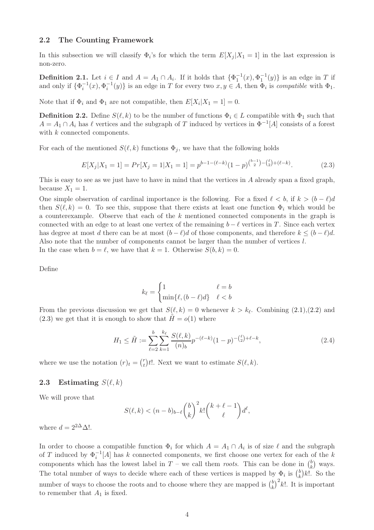#### 2.2 The Counting Framework

In this subsection we will classify  $\Phi_i$ 's for which the term  $E[X_j | X_1 = 1]$  in the last expression is non-zero.

**Definition 2.1.** Let  $i \in I$  and  $A = A_1 \cap A_i$ . If it holds that  $\{\Phi_1^{-1}(x), \Phi_1^{-1}(y)\}$  is an edge in T if and only if  $\{\Phi_i^{-1}(x), \Phi_i^{-1}(y)\}\$ is an edge in T for every two  $x, y \in A$ , then  $\Phi_i$  is *compatible* with  $\Phi_1$ .

Note that if  $\Phi_i$  and  $\Phi_1$  are not compatible, then  $E[X_i|X_1 = 1] = 0$ .

**Definition 2.2.** Define  $S(\ell, k)$  to be the number of functions  $\Phi_i \in L$  compatible with  $\Phi_1$  such that  $A = A_1 \cap A_i$  has  $\ell$  vertices and the subgraph of T induced by vertices in  $\Phi^{-1}[A]$  consists of a forest with  $k$  connected components.

For each of the mentioned  $S(\ell, k)$  functions  $\Phi_i$ , we have that the following holds

<span id="page-3-0"></span>
$$
E[X_j|X_1 = 1] = Pr[X_j = 1|X_1 = 1] = p^{b-1-(\ell-k)}(1-p)^{\binom{b-1}{2} - \binom{\ell}{2} + (\ell-k)}.
$$
\n(2.3)

This is easy to see as we just have to have in mind that the vertices in A already span a fixed graph, because  $X_1 = 1$ .

One simple observation of cardinal importance is the following. For a fixed  $\ell < b$ , if  $k > (b - \ell)d$ then  $S(\ell, k) = 0$ . To see this, suppose that there exists at least one function  $\Phi_i$  which would be a counterexample. Observe that each of the  $k$  mentioned connected components in the graph is connected with an edge to at least one vertex of the remaining  $b - \ell$  vertices in T. Since each vertex has degree at most d there can be at most  $(b - \ell)d$  of those components, and therefore  $k \leq (b - \ell)d$ . Also note that the number of components cannot be larger than the number of vertices l. In the case when  $b = \ell$ , we have that  $k = 1$ . Otherwise  $S(b, k) = 0$ .

Define

$$
k_{\ell} = \begin{cases} 1 & \ell = b \\ \min\{\ell, (b - \ell)d\} & \ell < b \end{cases}
$$

From the previous discussion we get that  $S(\ell, k) = 0$  whenever  $k > k_{\ell}$ . Combining  $(2.1), (2.2)$  $(2.1), (2.2)$  and  $(2.3)$  we get that it is enough to show that  $H = o(1)$  where

<span id="page-3-1"></span>
$$
H_1 \le \tilde{H} := \sum_{\ell=2}^b \sum_{k=1}^{k_\ell} \frac{S(\ell, k)}{(n)_b} p^{-(\ell - k)} (1 - p)^{-\binom{\ell}{2} + \ell - k},\tag{2.4}
$$

where we use the notation  $(r)_t = \binom{r}{t}$  $t(t)$ t!. Next we want to estimate  $S(\ell, k)$ .

#### 2.3 Estimating  $S(\ell, k)$

We will prove that

$$
S(\ell, k) < (n - b)_{b - \ell} \binom{b}{k}^2 k! \binom{k + \ell - 1}{\ell} d^{\ell},
$$

where  $d = 2^{2\Delta} \Delta!$ .

In order to choose a compatible function  $\Phi_i$  for which  $A = A_1 \cap A_i$  is of size  $\ell$  and the subgraph of T induced by  $\Phi_i^{-1}[A]$  has k connected components, we first choose one vertex for each of the k components which has the lowest label in T – we call them roots. This can be done in  $\binom{b}{k}$  $\binom{b}{k}$  ways. The total number of ways to decide where each of these vertices is mapped by  $\Phi_i$  is  $\binom{b}{k}$  $\binom{b}{k}k!$ . So the number of ways to choose the roots and to choose where they are mapped is  $\binom{b}{k}$  $(k)$ <sup>b</sup>/<sup>2</sup> $k!$ . It is important to remember that  $A_1$  is fixed.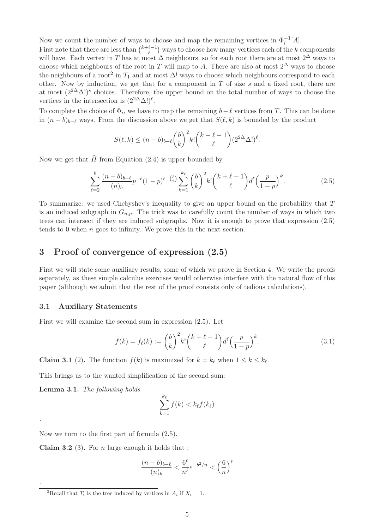Now we count the number of ways to choose and map the remaining vertices in  $\Phi_i^{-1}[A]$ .

First note that there are less than  $\binom{k+\ell-1}{\ell}$  $\binom{k-1}{\ell}$  ways to choose how many vertices each of the k components will have. Each vertex in T has at most  $\Delta$  neighbours, so for each root there are at most  $2^{\Delta}$  ways to choose which neighbours of the root in T will map to A. There are also at most  $2^{\Delta}$  ways to choose the neighbours of a root<sup>[2](#page-4-0)</sup> in  $T_1$  and at most  $\Delta$ ! ways to choose which neighbours correspond to each other. Now by induction, we get that for a component in  $T$  of size  $s$  and a fixed root, there are at most  $(2^{2\Delta}\Delta!)^s$  choices. Therefore, the upper bound on the total number of ways to choose the vertices in the intersection is  $(2^{2\Delta}\Delta!)^{\ell}$ .

To complete the choice of  $\Phi_i$ , we have to map the remaining  $b-\ell$  vertices from T. This can be done in  $(n - b)_{b-\ell}$  ways. From the discussion above we get that  $S(\ell, k)$  is bounded by the product

$$
S(\ell,k) \le (n-b)_{b-\ell} {b \choose k}^2 k! {k+\ell-1 \choose \ell} (2^{2\Delta} \Delta!)^{\ell}.
$$

Now we get that  $\tilde{H}$  from Equation [\(2.4\)](#page-3-1) is upper bounded by

<span id="page-4-1"></span>
$$
\sum_{\ell=2}^{b} \frac{(n-b)_{b-\ell}}{(n)_{b}} p^{-\ell} (1-p)^{\ell - \binom{\ell}{2}} \sum_{k=1}^{k_{\ell}} \binom{b}{k}^{2} k! \binom{k+\ell-1}{\ell} d^{\ell} \left(\frac{p}{1-p}\right)^{k}.
$$
 (2.5)

To summarize: we used Chebyshev's inequality to give an upper bound on the probability that T is an induced subgraph in  $G_{n,p}$ . The trick was to carefully count the number of ways in which two trees can intersect if they are induced subgraphs. Now it is enough to prove that expression [\(2.5\)](#page-4-1) tends to 0 when  $n$  goes to infinity. We prove this in the next section.

### 3 Proof of convergence of expression [\(2.5\)](#page-4-1)

First we will state some auxiliary results, some of which we prove in Section 4. We write the proofs separately, as these simple calculus exercises would otherwise interfere with the natural flow of this paper (although we admit that the rest of the proof consists only of tedious calculations).

#### 3.1 Auxiliary Statements

First we will examine the second sum in expression [\(2.5\)](#page-4-1). Let

$$
f(k) = f_{\ell}(k) := \binom{b}{k}^2 k! \binom{k+\ell-1}{\ell} d^{\ell} \left(\frac{p}{1-p}\right)^k.
$$
 (3.1)

<span id="page-4-4"></span>**Claim 3.1** (2). The function  $f(k)$  is maximized for  $k = k_{\ell}$  when  $1 \leq k \leq k_{\ell}$ .

<span id="page-4-3"></span>This brings us to the wanted simplification of the second sum:

Lemma 3.1. The following holds

.

.

$$
\sum_{k=1}^{k_{\ell}} f(k) < k_{\ell} f(k_{\ell})
$$

<span id="page-4-2"></span>Now we turn to the first part of formula [\(2.5\)](#page-4-1).

**Claim 3.2** (3). For *n* large enough it holds that :

$$
\frac{(n-b)_{b-\ell}}{(n)_b} < \frac{6^\ell}{n^\ell} e^{-b^2/n} < \left(\frac{6}{n}\right)^\ell
$$

<span id="page-4-0"></span><sup>2</sup>Recall that  $T_i$  is the tree induced by vertices in  $A_i$  if  $X_i = 1$ .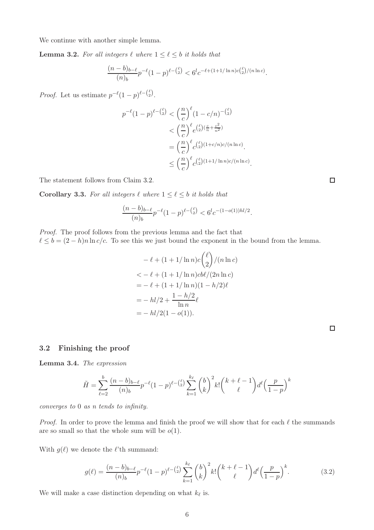We continue with another simple lemma.

**Lemma 3.2.** For all integers  $\ell$  where  $1 \leq \ell \leq b$  it holds that

$$
\frac{(n-b)_{b-\ell}}{(n)_{b}} p^{-\ell} (1-p)^{\ell - \binom{\ell}{2}} < 6^l c^{-\ell + (1+1/\ln n) c\binom{\ell}{2}/(n\ln c)}.
$$

*Proof.* Let us estimate  $p^{-\ell}(1-p)^{\ell-\binom{\ell}{2}}$ .

$$
p^{-\ell}(1-p)^{\ell - \binom{\ell}{2}} < \left(\frac{n}{c}\right)^{\ell} (1-c/n)^{-\binom{\ell}{2}} \\
&< \left(\frac{n}{c}\right)^{\ell} e^{\binom{\ell}{2} \left(\frac{c}{n} + \frac{c^2}{n^2}\right)} \\
&= \left(\frac{n}{c}\right)^{\ell} c^{\binom{\ell}{2} (1+c/n)c/(n\ln c)} \\
&\leq \left(\frac{n}{c}\right)^{\ell} c^{\binom{\ell}{2} (1+1/\ln n)c/(n\ln c)}.
$$

<span id="page-5-0"></span>The statement follows from Claim [3.2.](#page-4-2)

**Corollary 3.3.** For all integers  $\ell$  where  $1 \leq \ell \leq b$  it holds that

$$
\frac{(n-b)_{b-\ell}}{(n)_{b}} p^{-\ell} (1-p)^{\ell - {(\ell)} \choose 2} < 6^l c^{-(1-o(1))hl/2}.
$$

Proof. The proof follows from the previous lemma and the fact that  $\ell \leq b = (2 - h)n \ln c/c$ . To see this we just bound the exponent in the bound from the lemma.

$$
-\ell + (1 + 1/\ln n)c\binom{\ell}{2}/(n\ln c)
$$
  

$$
< -\ell + (1 + 1/\ln n)c b\ell/(2n\ln c)
$$
  

$$
= -\ell + (1 + 1/\ln n)(1 - h/2)\ell
$$
  

$$
= -h l/2 + \frac{1 - h/2}{\ln n}\ell
$$
  

$$
= -h l/2(1 - o(1)).
$$

#### 3.2 Finishing the proof

Lemma 3.4. The expression

$$
\tilde{H} = \sum_{\ell=2}^{b} \frac{(n-b)_{b-\ell}}{(n)_{b}} p^{-\ell} (1-p)^{\ell - \binom{\ell}{2}} \sum_{k=1}^{k_{\ell}} \binom{b}{k}^{2} k! \binom{k+\ell-1}{\ell} d^{\ell} \left(\frac{p}{1-p}\right)^{k}
$$

converges to 0 as n tends to infinity.

*Proof.* In order to prove the lemma and finish the proof we will show that for each  $\ell$  the summands are so small so that the whole sum will be  $o(1)$ .

With  $g(\ell)$  we denote the  $\ell$ 'th summand:

$$
g(\ell) = \frac{(n-b)_{b-\ell}}{(n)_b} p^{-\ell} (1-p)^{\ell - \binom{\ell}{2}} \sum_{k=1}^{k_{\ell}} \binom{b}{k}^2 k! \binom{k+\ell-1}{\ell} d^{\ell} \left(\frac{p}{1-p}\right)^k.
$$
 (3.2)

We will make a case distinction depending on what  $k_{\ell}$  is.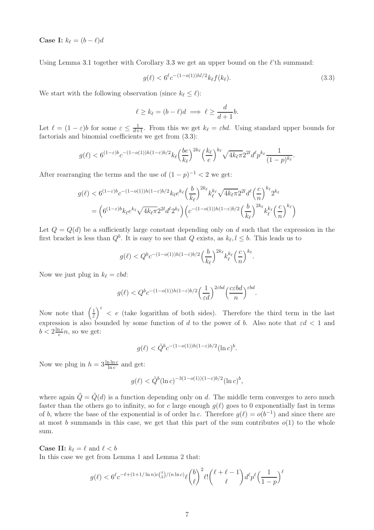Case I:  $k_{\ell} = (b - \ell)d$ 

Using Lemma [3.1](#page-4-3) together with Corollary [3.3](#page-5-0) we get an upper bound on the  $\ell$ 'th summand:

<span id="page-6-0"></span>
$$
g(\ell) < 6^{\ell} c^{-(1-o(1))hl/2} k_{\ell} f(k_{\ell}).\tag{3.3}
$$

.

We start with the following observation (since  $k_{\ell} \leq \ell$ ):

$$
\ell \ge k_{\ell} = (b - \ell)d \implies \ell \ge \frac{d}{d+1}b.
$$

Let  $\ell = (1 - \varepsilon)b$  for some  $\varepsilon \leq \frac{1}{d+1}$ . From this we get  $k_{\ell} = \varepsilon bd$ . Using standard upper bounds for factorials and binomial coefficients we get from [\(3.3\)](#page-6-0):

$$
g(\ell) < 6^{(1-\varepsilon)b}c^{-(1-o(1))h(1-\varepsilon)b/2}k_\ell \Big(\frac{be}{k_\ell}\Big)^{2k_\ell}\Big(\frac{k_\ell}{e}\Big)^{k_\ell} \sqrt{4k_\ell\pi} 2^{2l}d^\ell p^{k_\ell}\frac{1}{(1-p)^{k_\ell}}
$$

After rearranging the terms and the use of  $(1-p)^{-1} < 2$  we get:

$$
g(\ell) < 6^{(1-\varepsilon)b} c^{-(1-o(1))h(1-\varepsilon)b/2} k_{\ell} e^{k_{\ell}} \left(\frac{b}{k_{\ell}}\right)^{2k_{\ell}} k_{\ell}^{k_{\ell}} \sqrt{4k_{\ell}\pi} 2^{2l} d^{\ell} \left(\frac{c}{n}\right)^{k_{\ell}} 2^{k_{\ell}}
$$
\n
$$
= \left(6^{(1-\varepsilon)b} k_{\ell} e^{k_{\ell}} \sqrt{4k_{\ell}\pi} 2^{2l} d^{\ell} 2^{k_{\ell}}\right) \left(c^{-(1-o(1))h(1-\varepsilon)b/2} \left(\frac{b}{k_{\ell}}\right)^{2k_{\ell}} k_{\ell}^{k_{\ell}} \left(\frac{c}{n}\right)^{k_{\ell}}\right)
$$

Let  $Q = Q(d)$  be a sufficiently large constant depending only on d such that the expression in the first bracket is less than  $Q^b$ . It is easy to see that Q exists, as  $k_{\ell}, l \leq b$ . This leads us to

$$
g(\ell) < Q^b c^{-(1-o(1))h(1-\varepsilon)b/2} \left(\frac{b}{k_\ell}\right)^{2k_\ell} k_\ell^{k_\ell} \left(\frac{c}{n}\right)^{k_\ell}.
$$

Now we just plug in  $k_\ell = \varepsilon bd$ :

$$
g(\ell) < Q^b c^{-(1-o(1))h(1-\varepsilon)b/2} \left(\frac{1}{\varepsilon d}\right)^{2\varepsilon bd} \left(\frac{c \varepsilon b d}{n}\right)^{\varepsilon bd}.
$$

Now note that  $\left(\frac{1}{\varepsilon}\right)$  $\frac{1}{\varepsilon}$   $\int_{0}^{\varepsilon}$  < e (take logarithm of both sides). Therefore the third term in the last expression is also bounded by some function of d to the power of b. Also note that  $\epsilon d < 1$  and  $b < 2\frac{\ln c}{c}$  $\frac{nc}{c}n$ , so we get:

$$
g(\ell) < \tilde{Q}^b c^{-(1-o(1))h(1-\varepsilon)b/2} (\ln c)^b.
$$

Now we plug in  $h = 3 \frac{\ln \ln c}{\ln c}$  and get:

$$
g(\ell) < \tilde{Q}^b(\ln c)^{-3(1 - o(1))(1 - \varepsilon)b/2}(\ln c)^b,
$$

where again  $\tilde{Q} = \tilde{Q}(d)$  is a function depending only on d. The middle term converges to zero much faster than the others go to infinity, so for c large enough  $q(\ell)$  goes to 0 exponentially fast in terms of b, where the base of the exponential is of order  $\ln c$ . Therefore  $g(\ell) = o(b^{-1})$  and since there are at most b summands in this case, we get that this part of the sum contributes  $o(1)$  to the whole sum.

**Case II:**  $k_{\ell} = \ell$  and  $\ell < b$ 

In this case we get from Lemma 1 and Lemma 2 that:

$$
g(\ell) < 6^{\ell} c^{-\ell + (1+1/\ln n)c\binom{\ell}{2}/(n\ln c)} \ell \binom{b}{\ell}^2 \ell! \binom{\ell+\ell-1}{\ell} d^{\ell} p^{\ell} \left(\frac{1}{1-p}\right)^{\ell}
$$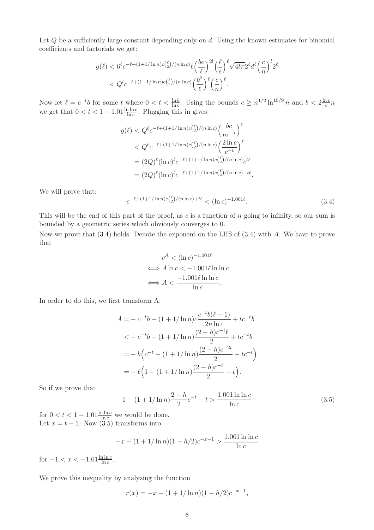Let Q be a sufficiently large constant depending only on d. Using the known estimates for binomial coefficients and factorials we get:

$$
g(\ell) < 6^{\ell} c^{-\ell + (1+1/\ln n)c\binom{\ell}{2}/(n\ln c)} \ell \left(\frac{be}{\ell}\right)^{2l} \left(\frac{\ell}{e}\right)^{\ell} \sqrt{4l\pi} 2^{\ell} d^{\ell} \left(\frac{c}{n}\right)^{l} 2^{\ell}
$$
  
<  $Q^{l} c^{-\ell + (1+1/\ln n)c\binom{\ell}{2}/(n\ln c)} \left(\frac{b^{2}}{\ell}\right)^{\ell} \left(\frac{c}{n}\right)^{\ell}.$ 

Now let  $\ell = c^{-t}b$  for some t where  $0 < t < \frac{\ln b}{\ln c}$ . Using the bounds  $c \geq n^{1/2} \ln^{10/9} n$  and  $b < 2\frac{\ln c}{c}$  $\frac{nc}{c}n$ we get that  $0 < t < 1 - 1.01 \frac{\ln \ln c}{\ln c}$ . Plugging this in gives:

$$
g(\ell) < Q^{\ell} c^{-\ell + (1+1/\ln n)c\binom{\ell}{2}/(n\ln c)} \left(\frac{bc}{nc^{-t}}\right)^{\ell}
$$
\n
$$
\leq Q^{\ell} c^{-\ell + (1+1/\ln n)c\binom{\ell}{2}/(n\ln c)} \left(\frac{2\ln c}{c^{-t}}\right)^{\ell}
$$
\n
$$
= (2Q)^{\ell} (\ln c)^{l} c^{-\ell + (1+1/\ln n)c\binom{\ell}{2}/(n\ln c)} c^{t\ell}
$$
\n
$$
= (2Q)^{\ell} (\ln c)^{l} c^{-\ell + (1+1/\ln n)c\binom{\ell}{2}/(n\ln c) + t\ell}
$$

We will prove that:

<span id="page-7-0"></span>
$$
c^{-\ell + (1+1/\ln n)c\binom{\ell}{2}/(n\ln c) + t\ell} < (\ln c)^{-1.001\ell}.\tag{3.4}
$$

.

This will be the end of this part of the proof, as c is a function of n going to infinity, so our sum is bounded by a geometric series which obviously converges to 0.

Now we prove that [\(3.4\)](#page-7-0) holds. Denote the exponent on the LHS of [\(3.4\)](#page-7-0) with A. We have to prove that

$$
c^{A} < (\ln c)^{-1.001\ell}
$$
  
\n
$$
\iff A \ln c < -1.001\ell \ln \ln c
$$
  
\n
$$
\iff A < \frac{-1.001\ell \ln \ln c}{\ln c}.
$$

In order to do this, we first transform A:

$$
A = -c^{-t}b + (1 + 1/\ln n)c \frac{c^{-t}b(\ell - 1)}{2n \ln c} + tc^{-t}b
$$
  

$$
< -c^{-t}b + (1 + 1/\ln n)\frac{(2 - h)c^{-t}\ell}{2} + tc^{-t}b
$$
  

$$
= -b(c^{-t} - (1 + 1/\ln n)\frac{(2 - h)c^{-2t}}{2} - tc^{-t})
$$
  

$$
= -\ell(1 - (1 + 1/\ln n)\frac{(2 - h)c^{-t}}{2} - t).
$$

So if we prove that

<span id="page-7-1"></span>
$$
1 - (1 + 1/\ln n)^{\frac{2 - h}{2}} c^{-t} - t > \frac{1.001 \ln \ln c}{\ln c}
$$
 (3.5)

for  $0 < t < 1 - 1.01 \frac{\ln \ln c}{\ln c}$  we would be done. Let  $x = t - 1$ . Now [\(3.5\)](#page-7-1) transforms into

$$
-x - (1 + 1/\ln n)(1 - h/2)c^{-x-1} > \frac{1.001 \ln \ln c}{\ln c}
$$

for  $-1 < x < -1.01 \frac{\ln \ln c}{\ln c}$ .

We prove this inequality by analyzing the function

$$
r(x) = -x - (1 + 1/\ln n)(1 - h/2)c^{-x-1},
$$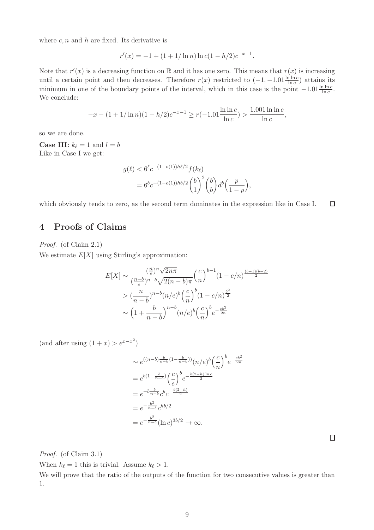where  $c, n$  and  $h$  are fixed. Its derivative is

$$
r'(x) = -1 + (1 + 1/\ln n) \ln c(1 - h/2)c^{-x-1}.
$$

Note that  $r'(x)$  is a decreasing function on R and it has one zero. This means that  $r(x)$  is increasing until a certain point and then decreases. Therefore  $r(x)$  restricted to  $(-1, -1.01\frac{\ln \ln c}{\ln c})$  attains its minimum in one of the boundary points of the interval, which in this case is the point  $-1.01\frac{\ln\ln c}{\ln c}$ . We conclude:

$$
-x - (1 + 1/\ln n)(1 - h/2)c^{-x-1} \ge r(-1.01\frac{\ln \ln c}{\ln c}) > \frac{1.001\ln \ln c}{\ln c},
$$

so we are done.

**Case III:**  $k_{\ell} = 1$  and  $l = b$ Like in Case I we get:

$$
g(\ell) < 6^{\ell} c^{-(1-o(1))h\ell/2} f(k_{\ell})
$$
\n
$$
= 6^{b} c^{-(1-o(1))hb/2} {b \choose 1}^{2} {b \choose b} d^{b} \left( \frac{p}{1-p} \right),
$$

 $\Box$ which obviously tends to zero, as the second term dominates in the expression like in Case I.

### 4 Proofs of Claims

Proof. (of Claim [2.1\)](#page-2-2)

We estimate  $E[X]$  using Stirling's approximation:

$$
E[X] \sim \frac{\left(\frac{n}{e}\right)^n \sqrt{2n\pi}}{\left(\frac{n-b}{e}\right)^{n-b} \sqrt{2(n-b)\pi}} \left(\frac{c}{n}\right)^{b-1} (1-c/n)^{\frac{(b-1)(b-2)}{2}}
$$

$$
> \left(\frac{n}{n-b}\right)^{n-b} (n/e)^b \left(\frac{c}{n}\right)^b (1-c/n)^{\frac{b^2}{2}}
$$

$$
\sim \left(1+\frac{b}{n-b}\right)^{n-b} (n/e)^b \left(\frac{c}{n}\right)^b e^{-\frac{cb^2}{2n}}
$$

(and after using  $(1+x) > e^{x-x^2}$ )

$$
\sim e^{((n-b)\frac{b}{n-b}(1-\frac{b}{n-b}))}(n/e)^{b}\left(\frac{c}{n}\right)^{b}e^{-\frac{cb^{2}}{2n}}
$$

$$
= e^{b(1-\frac{b}{n-b})}\left(\frac{c}{e}\right)^{b}e^{-\frac{b(2-h)\ln c}{2}}
$$

$$
= e^{-b\frac{b}{n-b}}c^{b}c^{-\frac{b(2-h)}{2}}
$$

$$
= e^{-\frac{b^{2}}{n-b}}c^{hb/2}
$$

$$
= e^{-\frac{b^{2}}{n-b}}(\ln c)^{3b/2} \to \infty.
$$

 $\Box$ 

Proof. (of Claim [3.1\)](#page-4-4)

When  $k_{\ell} = 1$  this is trivial. Assume  $k_{\ell} > 1$ .

We will prove that the ratio of the outputs of the function for two consecutive values is greater than 1.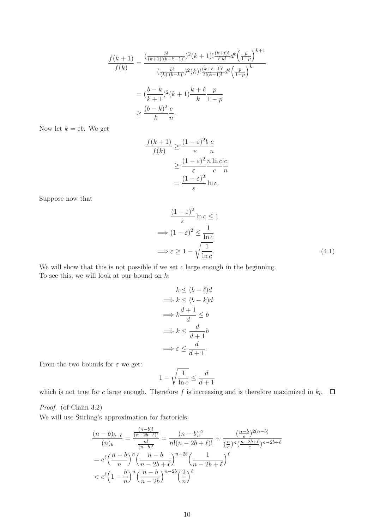$$
\frac{f(k+1)}{f(k)} = \frac{\left(\frac{b!}{(k+1)!(b-k-1)!}\right)^2 (k+1)! \frac{(k+\ell)!}{\ell!k!} d^{\ell} \left(\frac{p}{1-p}\right)^{k+1}}{\left(\frac{b!}{(k)!(b-k)!}\right)^2 (k)! \frac{(k+\ell-1)!}{\ell! (k-1)!} d^{\ell} \left(\frac{p}{1-p}\right)^k}
$$

$$
= \left(\frac{b-k}{k+1}\right)^2 (k+1) \frac{k+\ell}{k} \frac{p}{1-p}
$$

$$
\geq \frac{(b-k)^2}{k} \frac{c}{n}.
$$

Now let  $k = \varepsilon b$ . We get

$$
\frac{f(k+1)}{f(k)} \ge \frac{(1-\varepsilon)^2 b c}{\varepsilon n}
$$

$$
\ge \frac{(1-\varepsilon)^2 n \ln c c}{\varepsilon n}
$$

$$
= \frac{(1-\varepsilon)^2}{\varepsilon} \ln c.
$$

Suppose now that

$$
\frac{(1-\varepsilon)^2}{\varepsilon} \ln c \le 1
$$
  
\n
$$
\implies (1-\varepsilon)^2 \le \frac{1}{\ln c}
$$
  
\n
$$
\implies \varepsilon \ge 1 - \sqrt{\frac{1}{\ln c}}.
$$
\n(4.1)

We will show that this is not possible if we set  $c$  large enough in the beginning. To see this, we will look at our bound on  $k$ :

$$
k \le (b - \ell)d
$$
  
\n
$$
\implies k \le (b - k)d
$$
  
\n
$$
\implies k \frac{d+1}{d} \le b
$$
  
\n
$$
\implies k \le \frac{d}{d+1}b
$$
  
\n
$$
\implies \varepsilon \le \frac{d}{d+1}.
$$

From the two bounds for  $\varepsilon$  we get:

$$
1-\sqrt{\frac{1}{\ln c}}\leq \frac{d}{d+1}
$$

which is not true for c large enough. Therefore  $f$  is increasing and is therefore maximized in  $k_l$ .

Proof. (of Claim [3.2\)](#page-4-2)

We will use Stirling's approximation for factoriels:

$$
\frac{(n-b)_{b-\ell}}{(n)_{b}} = \frac{\frac{(n-b)!}{(n-2b+\ell)!}}{\frac{n!}{(n-b)!}} = \frac{(n-b)!^{2}}{n!(n-2b+\ell)!} \sim \frac{\left(\frac{n-b}{e}\right)^{2(n-b)}}{\left(\frac{n}{e}\right)^{n}\left(\frac{n-2b+\ell}{e}\right)^{n-2b+\ell}}
$$

$$
= e^{\ell} \left(\frac{n-b}{n}\right)^{n} \left(\frac{n-b}{n-2b+\ell}\right)^{n-2b} \left(\frac{1}{n-2b+\ell}\right)^{\ell}
$$

$$
< e^{\ell} \left(1-\frac{b}{n}\right)^{n} \left(\frac{n-b}{n-2b}\right)^{n-2b} \left(\frac{2}{n}\right)^{\ell}
$$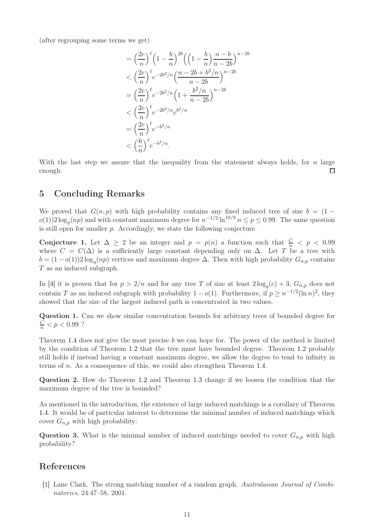(after regrouping some terms we get)

$$
= \left(\frac{2e}{n}\right)^{\ell} \left(1 - \frac{b}{n}\right)^{2b} \left(\left(1 - \frac{b}{n}\right) \frac{n - b}{n - 2b}\right)^{n - 2b}
$$
  

$$
< \left(\frac{2e}{n}\right)^{\ell} e^{-2b^2/n} \left(\frac{n - 2b + b^2/n}{n - 2b}\right)^{n - 2b}
$$
  

$$
= \left(\frac{2e}{n}\right)^{\ell} e^{-2b^2/n} \left(1 + \frac{b^2/n}{n - 2b}\right)^{n - 2b}
$$
  

$$
< \left(\frac{2e}{n}\right)^{\ell} e^{-2b^2/n} e^{b^2/n}
$$
  

$$
= \left(\frac{2e}{n}\right)^{\ell} e^{-b^2/n}
$$
  

$$
< \left(\frac{6}{n}\right)^{\ell} e^{-b^2/n}.
$$

With the last step we assure that the inequality from the statement always holds, for  $n$  large enough.  $\Box$ 

### 5 Concluding Remarks

We proved that  $G(n, p)$  with high probability contains any fixed induced tree of size  $b = (1$  $o(1)$ )2 log<sub>q</sub> $(np)$  and with constant maximum degree for  $n^{-1/2} \ln^{10/9} n \le p \le 0.99$ . The same question is still open for smaller p. Accordingly, we state the following conjecture.

Conjecture 1. Let  $\Delta \geq 2$  be an integer and  $p = p(n)$  a function such that  $\frac{C}{n} < p < 0.99$ where  $C = C(\Delta)$  is a sufficiently large constant depending only on  $\Delta$ . Let T be a tree with  $b = (1 - o(1))2 \log_q(np)$  vertices and maximum degree  $\Delta$ . Then with high probability  $G_{n,p}$  contains T as an induced subgraph.

In [\[4\]](#page-11-9) it is proven that for  $p > 2/n$  and for any tree T of size at least  $2 \log_q(c) + 3$ ,  $G_{n,p}$  does not contain T as an induced subgraph with probability  $1 - o(1)$ . Furthermore, if  $p \geq n^{-1/2}(\ln n)^2$ , they showed that the size of the largest induced path is concentrated in two values.

Question 1. Can we show similar concentration bounds for arbitrary trees of bounded degree for  $\frac{C}{n}$  <  $p$  < 0.99 ?

Theorem [1.4](#page-1-0) does not give the most precise  $b$  we can hope for. The power of the method is limited by the condition of Theorem [1.2](#page-0-0) that the tree must have bounded degree. Theorem [1.2](#page-0-0) probably still holds if instead having a constant maximum degree, we allow the degree to tend to infinity in terms of n. As a consequence of this, we could also strengthen Theorem [1.4.](#page-1-0)

Question 2. How do Theorem [1.2](#page-0-0) and Theorem [1.3](#page-1-1) change if we loosen the condition that the maximum degree of the tree is bounded?

As mentioned in the introduction, the existence of large induced matchings is a corollary of Theorem [1.4.](#page-1-0) It would be of particular interest to determine the minimal number of induced matchings which cover  $G_{n,p}$  with high probability:

**Question 3.** What is the minimal number of induced matchings needed to cover  $G_{n,p}$  with high probability?

## <span id="page-10-0"></span>References

[1] Lane Clark. The strong matching number of a random graph. Australasian Journal of Combinatorics, 24:47–58, 2001.